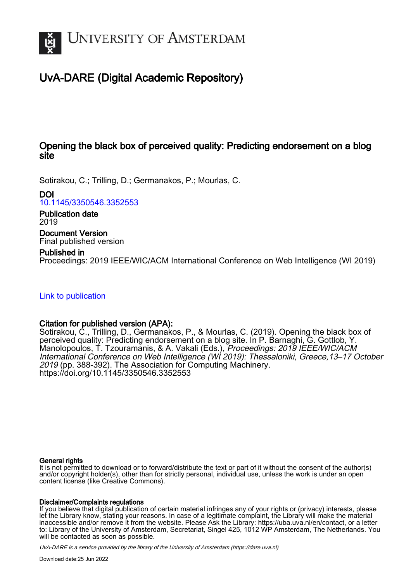

# UvA-DARE (Digital Academic Repository)

# Opening the black box of perceived quality: Predicting endorsement on a blog site

Sotirakou, C.; Trilling, D.; Germanakos, P.; Mourlas, C.

DOI

[10.1145/3350546.3352553](https://doi.org/10.1145/3350546.3352553)

Publication date 2019

Document Version Final published version

Published in

Proceedings: 2019 IEEE/WIC/ACM International Conference on Web Intelligence (WI 2019)

[Link to publication](https://dare.uva.nl/personal/pure/en/publications/opening-the-black-box-of-perceived-quality-predicting-endorsement-on-a-blog-site(87f77ef7-2796-440e-949a-a4e7be39b180).html)

# Citation for published version (APA):

Sotirakou, C., Trilling, D., Germanakos, P., & Mourlas, C. (2019). Opening the black box of perceived quality: Predicting endorsement on a blog site. In P. Barnaghi, G. Gottlob, Y. Manolopoulos, T. Tzouramanis, & A. Vakali (Eds.), Proceedings: 2019 IEEE/WIC/ACM International Conference on Web Intelligence (WI 2019): Thessaloniki, Greece,13–17 October 2019 (pp. 388-392). The Association for Computing Machinery. <https://doi.org/10.1145/3350546.3352553>

# General rights

It is not permitted to download or to forward/distribute the text or part of it without the consent of the author(s) and/or copyright holder(s), other than for strictly personal, individual use, unless the work is under an open content license (like Creative Commons).

# Disclaimer/Complaints regulations

If you believe that digital publication of certain material infringes any of your rights or (privacy) interests, please let the Library know, stating your reasons. In case of a legitimate complaint, the Library will make the material inaccessible and/or remove it from the website. Please Ask the Library: https://uba.uva.nl/en/contact, or a letter to: Library of the University of Amsterdam, Secretariat, Singel 425, 1012 WP Amsterdam, The Netherlands. You will be contacted as soon as possible.

UvA-DARE is a service provided by the library of the University of Amsterdam (http*s*://dare.uva.nl)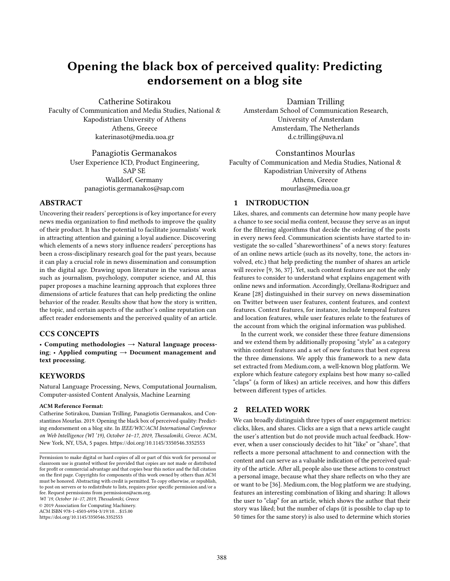# Opening the black box of perceived quality: Predicting endorsement on a blog site

Catherine Sotirakou Faculty of Communication and Media Studies, National & Kapodistrian University of Athens Athens, Greece katerinasot@media.uoa.gr

> Panagiotis Germanakos User Experience ICD, Product Engineering, SAP SE Walldorf, Germany panagiotis.germanakos@sap.com

#### ABSTRACT

Uncovering their readers' perceptions is of key importance for every news media organization to find methods to improve the quality of their product. It has the potential to facilitate journalists' work in attracting attention and gaining a loyal audience. Discovering which elements of a news story influence readers' perceptions has been a cross-disciplinary research goal for the past years, because it can play a crucial role in news dissemination and consumption in the digital age. Drawing upon literature in the various areas such as journalism, psychology, computer science, and AI, this paper proposes a machine learning approach that explores three dimensions of article features that can help predicting the online behavior of the reader. Results show that how the story is written, the topic, and certain aspects of the author's online reputation can affect reader endorsements and the perceived quality of an article.

# CCS CONCEPTS

• Computing methodologies  $\rightarrow$  Natural language processing; • Applied computing  $\rightarrow$  Document management and text processing.

# **KEYWORDS**

Natural Language Processing, News, Computational Journalism, Computer-assisted Content Analysis, Machine Learning

#### ACM Reference Format:

Catherine Sotirakou, Damian Trilling, Panagiotis Germanakos, and Constantinos Mourlas. 2019. Opening the black box of perceived quality: Predicting endorsement on a blog site. In IEEE/WIC/ACM International Conference on Web Intelligence (WI '19), October 14–17, 2019, Thessaloniki, Greece. ACM, New York, NY, USA, [5](#page-5-0) pages.<https://doi.org/10.1145/3350546.3352553>

WI '19, October 14–17, 2019, Thessaloniki, Greece

© 2019 Association for Computing Machinery.

ACM ISBN 978-1-4503-6934-3/19/10. . . \$15.00 <https://doi.org/10.1145/3350546.3352553>

Damian Trilling Amsterdam School of Communication Research, University of Amsterdam Amsterdam, The Netherlands d.c.trilling@uva.nl

Constantinos Mourlas Faculty of Communication and Media Studies, National & Kapodistrian University of Athens Athens, Greece mourlas@media.uoa.gr

# 1 INTRODUCTION

Likes, shares, and comments can determine how many people have a chance to see social media content, because they serve as an input for the filtering algorithms that decide the ordering of the posts in every news feed. Communication scientists have started to investigate the so-called "shareworthiness" of a news story: features of an online news article (such as its novelty, tone, the actors involved, etc.) that help predicting the number of shares an article will receive [\[9,](#page-5-1) [36,](#page-5-2) [37\]](#page-5-3). Yet, such content features are not the only features to consider to understand what explains engagement with online news and information. Accordingly, Orellana-Rodriguez and Keane [\[28\]](#page-5-4) distinguished in their survey on news dissemination on Twitter between user features, content features, and context features. Context features, for instance, include temporal features and location features, while user features relate to the features of the account from which the original information was published.

In the current work, we consider these three feature dimensions and we extend them by additionally proposing "style" as a category within content features and a set of new features that best express the three dimensions. We apply this framework to a new data set extracted from Medium.com, a well-known blog platform. We explore which feature category explains best how many so-called "claps" (a form of likes) an article receives, and how this differs between different types of articles.

#### 2 RELATED WORK

We can broadly distinguish three types of user engagement metrics: clicks, likes, and shares. Clicks are a sign that a news article caught the user's attention but do not provide much actual feedback. However, when a user consciously decides to hit "like" or "share", that reflects a more personal attachment to and connection with the content and can serve as a valuable indication of the perceived quality of the article. After all, people also use these actions to construct a personal image, because what they share reflects on who they are or want to be [\[36\]](#page-5-2). Medium.com, the blog platform we are studying, features an interesting combination of liking and sharing: It allows the user to "clap" for an article, which shows the author that their story was liked; but the number of claps (it is possible to clap up to 50 times for the same story) is also used to determine which stories

Permission to make digital or hard copies of all or part of this work for personal or classroom use is granted without fee provided that copies are not made or distributed for profit or commercial advantage and that copies bear this notice and the full citation on the first page. Copyrights for components of this work owned by others than ACM must be honored. Abstracting with credit is permitted. To copy otherwise, or republish, to post on servers or to redistribute to lists, requires prior specific permission and/or a fee. Request permissions from permissions@acm.org.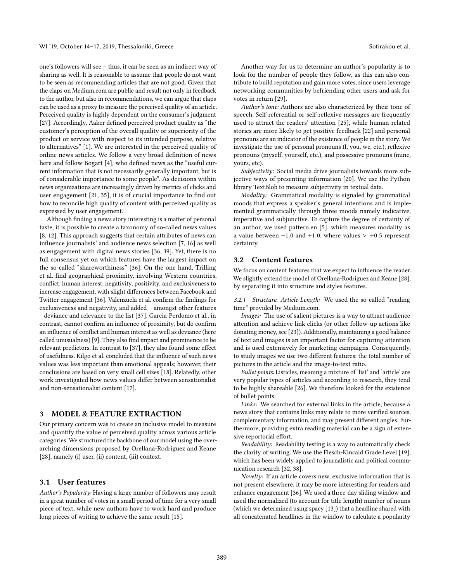one's followers will see – thus, it can be seen as an indirect way of sharing as well. It is reasonable to assume that people do not want to be seen as recommending articles that are not good. Given that the claps on Medium.com are public and result not only in feedback to the author, but also in recommendations, we can argue that claps can be used as a proxy to measure the perceived quality of an article. Perceived quality is highly dependent on the consumer's judgment [\[27\]](#page-5-5). Accordingly, Aaker defined perceived product quality as "the customer's perception of the overall quality or superiority of the product or service with respect to its intended purpose, relative to alternatives" [\[1\]](#page-5-6). We are interested in the perceived quality of online news articles. We follow a very broad definition of news here and follow Bogart [\[4\]](#page-5-7), who defined news as the "useful current information that is not necessarily generally important, but is of considerable importance to some people". As decisions within news organizations are increasingly driven by metrics of clicks and user engagement [\[21,](#page-5-8) [35\]](#page-5-9), it is of crucial importance to find out how to reconcile high quality of content with perceived quality as expressed by user engagement.

Although finding a news story interesting is a matter of personal taste, it is possible to create a taxonomy of so-called news values [\[8,](#page-5-10) [12\]](#page-5-11). This approach suggests that certain attributes of news can influence journalists' and audience news selection [\[7,](#page-5-12) [16\]](#page-5-13) as well as engagement with digital news stories [\[36,](#page-5-2) [39\]](#page-5-14). Yet, there is no full consensus yet on which features have the largest impact on the so-called "shareworthiness" [\[36\]](#page-5-2). On the one hand, Trilling et al. find geographical proximity, involving Western countries, conflict, human interest, negativity, positivity, and exclusiveness to increase engagement, with slight differences between Facebook and Twitter engagement [\[36\]](#page-5-2). Valenzuela et al. confirm the findings for exclusiveness and negativity, and added – amongst other features – deviance and relevance to the list [\[37\]](#page-5-3). Garcia-Perdomo et al., in contrast, cannot confirm an influence of proximity, but do confirm an influence of conflict and human interest as well as deviance (here called unusualness) [\[9\]](#page-5-1). They also find impact and prominence to be relevant predictors. In contrast to [\[37\]](#page-5-3), they also found some effect of usefulness. Kilgo et al. concluded that the influence of such news values was less important than emotional appeals; however, their conclusions are based on very small cell sizes [\[18\]](#page-5-15). Relatedly, other work investigated how news values differ between sensationalist and non-sensationalist content [\[17\]](#page-5-16).

#### 3 MODEL & FEATURE EXTRACTION

Our primary concern was to create an inclusive model to measure and quantify the value of perceived quality across various article categories. We structured the backbone of our model using the overarching dimensions proposed by Orellana-Rodriguez and Keane [\[28\]](#page-5-4), namely (i) user, (ii) content, (iii) context.

#### 3.1 User features

Author's Popularity: Having a large number of followers may result in a great number of votes in a small period of time for a very small piece of text, while new authors have to work hard and produce long pieces of writing to achieve the same result [\[15\]](#page-5-17).

Another way for us to determine an author's popularity is to look for the number of people they follow, as this can also contribute to build reputation and gain more votes, since users leverage networking communities by befriending other users and ask for votes in return [\[29\]](#page-5-18).

Author's tone: Authors are also characterized by their tone of speech. Self-referential or self-reflexive messages are frequently used to attract the readers' attention [\[25\]](#page-5-19), while human-related stories are more likely to get positive feedback [\[22\]](#page-5-20) and personal pronouns are an indicator of the existence of people in the story. We investigate the use of personal pronouns (I, you, we, etc.), reflexive pronouns (myself, yourself, etc.), and possessive pronouns (mine, yours, etc).

Subjectivity: Social media drive journalists towards more subjective ways of presenting information [\[20\]](#page-5-21). We use the Python library TextBlob to measure subjectivity in textual data.

Modality: Grammatical modality is signaled by grammatical moods that express a speaker's general intentions and is implemented grammatically through three moods namely indicative, imperative and subjunctive. To capture the degree of certainty of an author, we used pattern.en [\[5\]](#page-5-22), which measures modality as a value between  $-1.0$  and  $+1.0$ , where values  $> +0.5$  represent certainty.

#### 3.2 Content features

We focus on content features that we expect to influence the reader. We slightly extend the model of Orellana-Rodriguez and Keane [\[28\]](#page-5-4), by separating it into structure and styles features.

3.2.1 Structure. Article Length: We used the so-called "reading time" provided by Medium.com.

Images: The use of salient pictures is a way to attract audience attention and achieve link clicks (or other follow-up actions like donating money, see [\[23\]](#page-5-23)). Additionally, maintaining a good balance of text and images is an important factor for capturing attention and is used extensively for marketing campaigns. Consequently, to study images we use two different features: the total number of pictures in the article and the image-to-text ratio.

Bullet points: Listicles, meaning a mixture of 'list' and 'article' are very popular types of articles and according to research, they tend to be highly shareable [\[26\]](#page-5-24). We therefore looked for the existence of bullet points.

Links: We searched for external links in the article, because a news story that contains links may relate to more verified sources, complementary information, and may present different angles. Furthermore, providing extra reading material can be a sign of extensive reportorial effort.

Readability: Readability testing is a way to automatically check the clarity of writing. We use the Flesch-Kincaid Grade Level [\[19\]](#page-5-25), which has been widely applied to journalistic and political communication research [\[32,](#page-5-26) [38\]](#page-5-27).

Novelty: If an article covers new, exclusive information that is not present elsewhere, it may be more interesting for readers and enhance engagement [\[36\]](#page-5-2). We used a three-day sliding window and used the normalized (to account for title length) number of nouns (which we determined using spacy [\[13\]](#page-5-28)) that a headline shared with all concatenated headlines in the window to calculate a popularity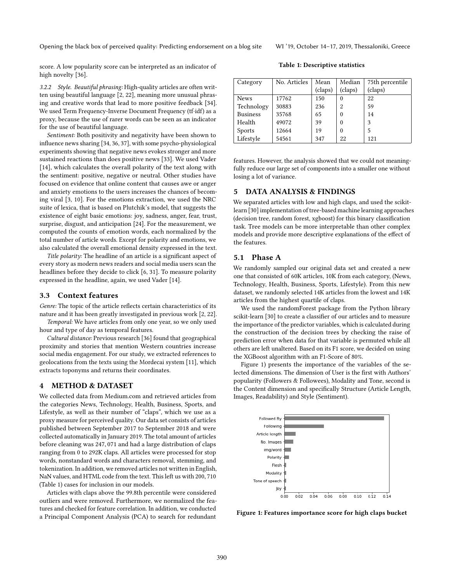score. A low popularity score can be interpreted as an indicator of high novelty [\[36\]](#page-5-2).

Table 1: Descriptive statistics

3.2.2 Style. Beautiful phrasing: High-quality articles are often written using beautiful language [\[2,](#page-5-29) [22\]](#page-5-20), meaning more unusual phrasing and creative words that lead to more positive feedback [\[34\]](#page-5-30). We used Term Frequency-Inverse Document Frequency (tf·idf) as a proxy, because the use of rarer words can be seen as an indicator for the use of beautiful language.

Sentiment: Both positivity and negativity have been shown to influence news sharing [\[34,](#page-5-30) [36,](#page-5-2) [37\]](#page-5-3), with some psycho-physiological experiments showing that negative news evokes stronger and more sustained reactions than does positive news [\[33\]](#page-5-31). We used Vader [\[14\]](#page-5-32), which calculates the overall polarity of the text along with the sentiment: positive, negative or neutral. Other studies have focused on evidence that online content that causes awe or anger and anxiety emotions to the users increases the chances of becoming viral [\[3,](#page-5-33) [10\]](#page-5-34). For the emotions extraction, we used the NRC suite of lexica, that is based on Plutchik's model, that suggests the existence of eight basic emotions: joy, sadness, anger, fear, trust, surprise, disgust, and anticipation [\[24\]](#page-5-35). For the measurement, we computed the counts of emotion words, each normalized by the total number of article words. Except for polarity and emotions, we also calculated the overall emotional density expressed in the text.

Title polarity: The headline of an article is a significant aspect of every story as modern news readers and social media users scan the headlines before they decide to click [\[6,](#page-5-36) [31\]](#page-5-37). To measure polarity expressed in the headline, again, we used Vader [\[14\]](#page-5-32).

#### 3.3 Context features

Genre: The topic of the article reflects certain characteristics of its nature and it has been greatly investigated in previous work [\[2,](#page-5-29) [22\]](#page-5-20).

Temporal: We have articles from only one year, so we only used hour and type of day as temporal features.

Cultural distance: Previous research [\[36\]](#page-5-2) found that geographical proximity and stories that mention Western countries increase social media engagement. For our study, we extracted references to geolocations from the texts using the Mordecai system [\[11\]](#page-5-38), which extracts toponyms and returns their coordinates.

#### 4 METHOD & DATASET

We collected data from Medium.com and retrieved articles from the categories News, Technology, Health, Business, Sports, and Lifestyle, as well as their number of "claps", which we use as a proxy measure for perceived quality. Our data set consists of articles published between September 2017 to September 2018 and were collected automatically in January 2019. The total amount of articles before cleaning was <sup>247</sup>, <sup>071</sup> and had a large distribution of claps ranging from 0 to 292K claps. All articles were processed for stop words, nonstandard words and characters removal, stemming, and tokenization. In addition, we removed articles not written in English, NaN values, and HTML code from the text. This left us with <sup>200</sup>, <sup>710</sup> (Table [1\)](#page-3-0) cases for inclusion in our models.

Articles with claps above the 99.8th percentile were considered outliers and were removed. Furthermore, we normalized the features and checked for feature correlation. In addition, we conducted a Principal Component Analysis (PCA) to search for redundant

<span id="page-3-0"></span>

| Category        | No. Articles | Mean    | Median   | 75th percentile |
|-----------------|--------------|---------|----------|-----------------|
|                 |              | (claps) | (claps)  | (claps)         |
| <b>News</b>     | 17762        | 150     | $\theta$ | 22              |
| Technology      | 30883        | 236     | 2        | 59              |
| <b>Business</b> | 35768        | 65      | $\theta$ | 14              |
| Health          | 49072        | 39      | 0        | 3               |
| Sports          | 12664        | 19      | 0        | 5               |
| Lifestyle       | 54561        | 347     | 22       | 121             |

features. However, the analysis showed that we could not meaningfully reduce our large set of components into a smaller one without losing a lot of variance.

### 5 DATA ANALYSIS & FINDINGS

We separated articles with low and high claps, and used the scikitlearn [\[30\]](#page-5-39) implementation of tree-based machine learning approaches (decision tree, random forest, xgboost) for this binary classification task. Tree models can be more interpretable than other complex models and provide more descriptive explanations of the effect of the features.

# 5.1 Phase A

We randomly sampled our original data set and created a new one that consisted of 60K articles, 10K from each category, (News, Technology, Health, Business, Sports, Lifestyle). From this new dataset, we randomly selected 14K articles from the lowest and 14K articles from the highest quartile of claps.

We used the randomForest package from the Python library scikit-learn [\[30\]](#page-5-39) to create a classifier of our articles and to measure the importance of the predictor variables, which is calculated during the construction of the decision trees by checking the raise of prediction error when data for that variable is permuted while all others are left unaltered. Based on its F1 score, we decided on using the XGBoost algorithm with an F1-Score of 80%.

Figure [1\)](#page-3-1) presents the importance of the variables of the selected dimensions. The dimension of User is the first with Authors' popularity (Followers & Followees), Modality and Tone, second is the Content dimension and specifically Structure (Article Length, Images, Readability) and Style (Sentiment).

<span id="page-3-1"></span>

Figure 1: Features importance score for high claps bucket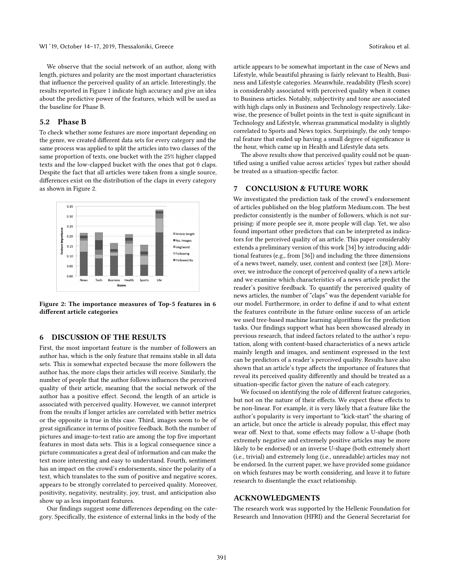We observe that the social network of an author, along with length, pictures and polarity are the most important characteristics that influence the perceived quality of an article. Interestingly, the results reported in Figure [1](#page-3-1) indicate high accuracy and give an idea about the predictive power of the features, which will be used as the baseline for Phase B.

# 5.2 Phase B

To check whether some features are more important depending on the genre, we created different data sets for every category and the same process was applied to split the articles into two classes of the same proportion of texts, one bucket with the 25% higher clapped texts and the low-clapped bucket with the ones that got 0 claps. Despite the fact that all articles were taken from a single source, differences exist on the distribution of the claps in every category as shown in Figure [2.](#page-4-0)

<span id="page-4-0"></span>

Figure 2: The importance measures of Top-5 features in 6 different article categories

#### 6 DISCUSSION OF THE RESULTS

First, the most important feature is the number of followers an author has, which is the only feature that remains stable in all data sets. This is somewhat expected because the more followers the author has, the more claps their articles will receive. Similarly, the number of people that the author follows influences the perceived quality of their article, meaning that the social network of the author has a positive effect. Second, the length of an article is associated with perceived quality. However, we cannot interpret from the results if longer articles are correlated with better metrics or the opposite is true in this case. Third, images seem to be of great significance in terms of positive feedback. Both the number of pictures and image-to-text ratio are among the top five important features in most data sets. This is a logical consequence since a picture communicates a great deal of information and can make the text more interesting and easy to understand. Fourth, sentiment has an impact on the crowd's endorsements, since the polarity of a text, which translates to the sum of positive and negative scores, appears to be strongly correlated to perceived quality. Moreover, positivity, negativity, neutrality, joy, trust, and anticipation also show up as less important features.

Our findings suggest some differences depending on the category. Specifically, the existence of external links in the body of the

article appears to be somewhat important in the case of News and Lifestyle, while beautiful phrasing is fairly relevant to Health, Business and Lifestyle categories. Meanwhile, readability (Flesh score) is considerably associated with perceived quality when it comes to Business articles. Notably, subjectivity and tone are associated with high claps only in Business and Technology respectively. Likewise, the presence of bullet points in the text is quite significant in Technology and Lifestyle, whereas grammatical modality is slightly correlated to Sports and News topics. Surprisingly, the only temporal feature that ended up having a small degree of significance is the hour, which came up in Health and Lifestyle data sets.

The above results show that perceived quality could not be quantified using a unified value across articles' types but rather should be treated as a situation-specific factor.

#### 7 CONCLUSION & FUTURE WORK

We investigated the prediction task of the crowd's endorsement of articles published on the blog platform Medium.com. The best predictor consistently is the number of followers, which is not surprising: if more people see it, more people will clap. Yet, we also found important other predictors that can be interpreted as indicators for the perceived quality of an article. This paper considerably extends a preliminary version of this work [\[34\]](#page-5-30) by introducing additional features (e.g., from [\[36\]](#page-5-2)) and including the three dimensions of a news tweet, namely, user, content and context (see [\[28\]](#page-5-4)). Moreover, we introduce the concept of perceived quality of a news article and we examine which characteristics of a news article predict the reader's positive feedback. To quantify the perceived quality of news articles, the number of "claps" was the dependent variable for our model. Furthermore, in order to define if and to what extent the features contribute in the future online success of an article we used tree-based machine learning algorithms for the prediction tasks. Our findings support what has been showcased already in previous research, that indeed factors related to the author's reputation, along with content-based characteristics of a news article mainly length and images, and sentiment expressed in the text can be predictors of a reader's perceived quality. Results have also shown that an article's type affects the importance of features that reveal its perceived quality differently and should be treated as a situation-specific factor given the nature of each category.

We focused on identifying the role of different feature categories, but not on the nature of their effects. We expect these effects to be non-linear. For example, it is very likely that a feature like the author's popularity is very important to "kick-start" the sharing of an article, but once the article is already popular, this effect may wear off. Next to that, some effects may follow a U-shape (both extremely negative and extremely positive articles may be more likely to be endorsed) or an inverse U-shape (both extremely short (i.e., trivial) and extremely long (i.e., unreadable) articles may not be endorsed. In the current paper, we have provided some guidance on which features may be worth considering, and leave it to future research to disentangle the exact relationship.

#### ACKNOWLEDGMENTS

The research work was supported by the Hellenic Foundation for Research and Innovation (HFRI) and the General Secretariat for